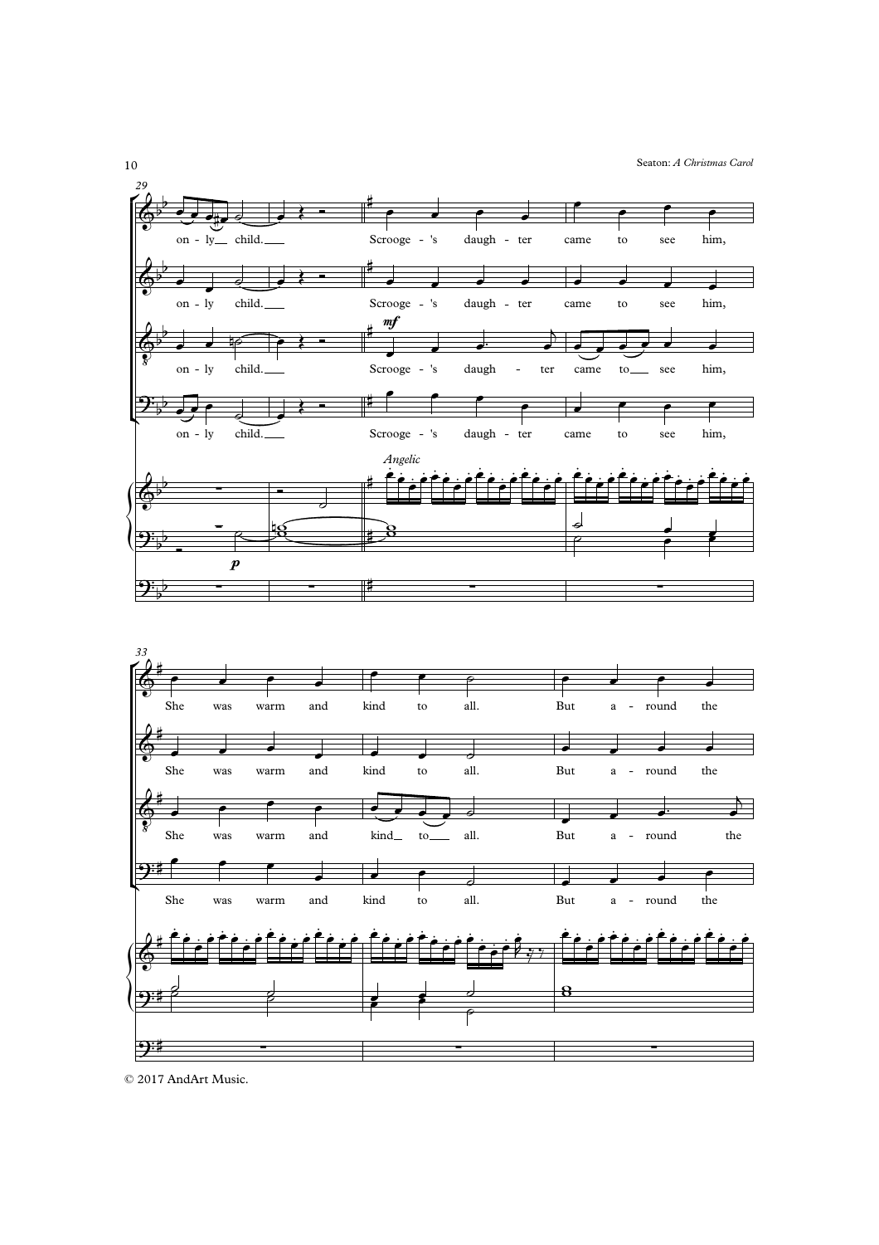Seaton: A Christmas Carol





<sup>© 2017</sup> AndArt Music.

 $10\,$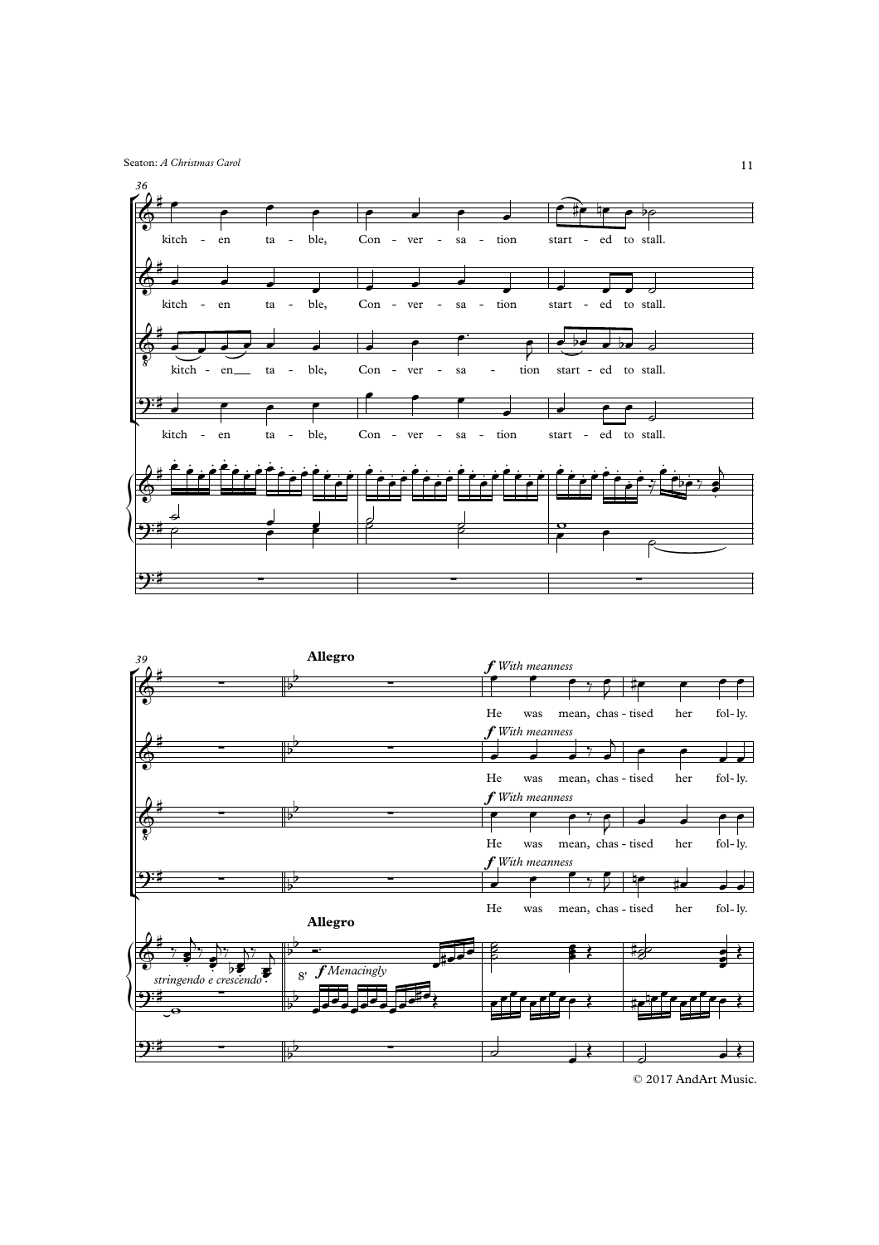Seaton: *A Christmas Carol*





<sup>©</sup> 2017 AndArt Music.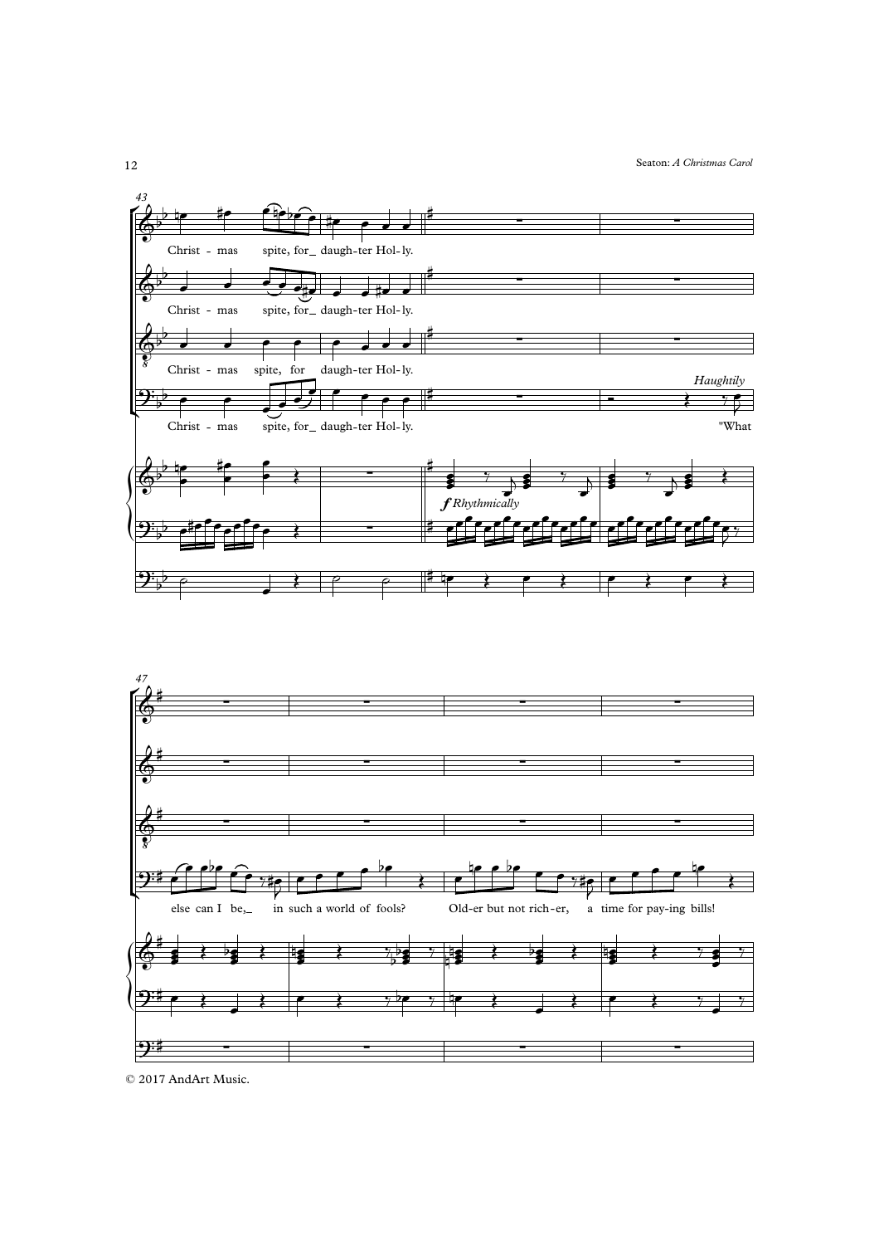



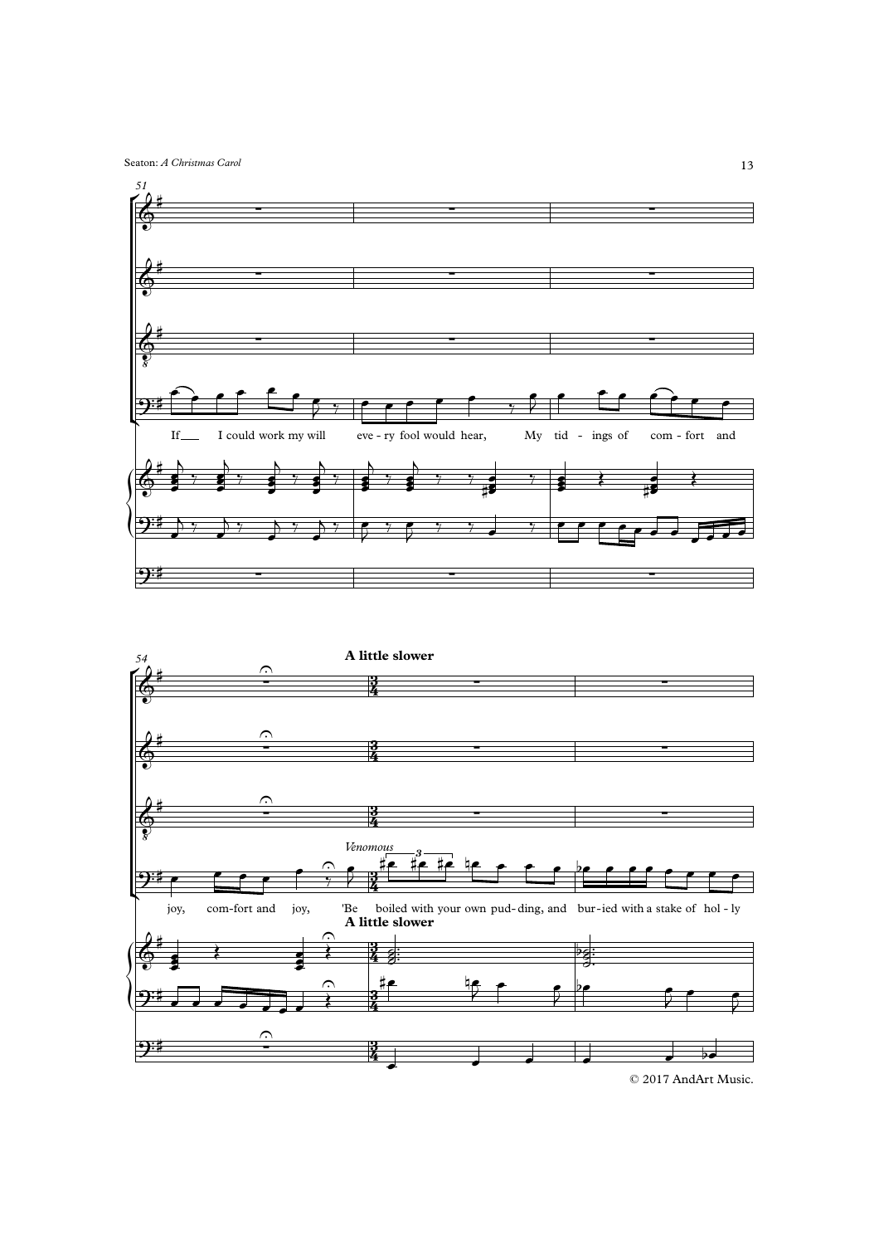Seaton: *A Christmas Carol*